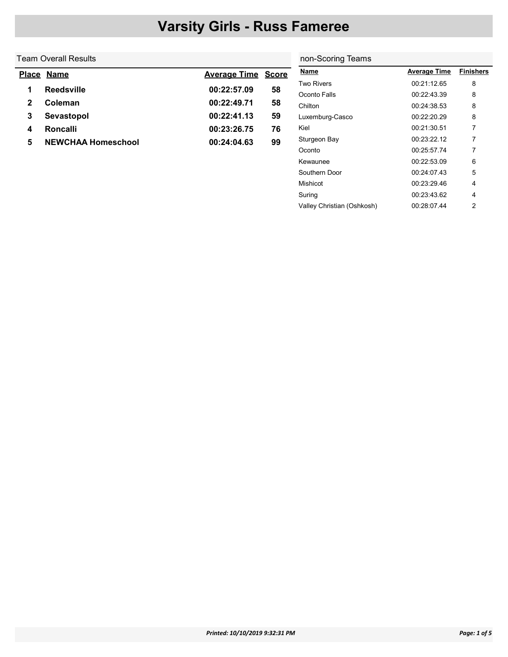#### Team Overall Results  $\overline{\phantom{a}}$

|   | Place Name                | <b>Average Time Score</b> |    |
|---|---------------------------|---------------------------|----|
| 1 | <b>Reedsville</b>         | 00:22:57.09               | 58 |
| 2 | Coleman                   | 00:22:49.71               | 58 |
| 3 | Sevastopol                | 00:22:41.13               | 59 |
| 4 | Roncalli                  | 00:23:26.75               | 76 |
| 5 | <b>NEWCHAA Homeschool</b> | 00:24:04.63               | 99 |

| non-Scoring Teams          |                     |                  |  |  |  |  |  |  |
|----------------------------|---------------------|------------------|--|--|--|--|--|--|
| <b>Name</b>                | <b>Average Time</b> | <b>Finishers</b> |  |  |  |  |  |  |
| Two Rivers                 | 00:21:12.65         | 8                |  |  |  |  |  |  |
| Oconto Falls               | 00:22:43.39         | 8                |  |  |  |  |  |  |
| Chilton                    | 00:24:38.53         | 8                |  |  |  |  |  |  |
| Luxemburg-Casco            | 00:22:20.29         | 8                |  |  |  |  |  |  |
| Kiel                       | 00:21:30:51         | 7                |  |  |  |  |  |  |
| Sturgeon Bay               | 00:23:22.12         | 7                |  |  |  |  |  |  |
| Oconto                     | 00:25:57.74         | 7                |  |  |  |  |  |  |
| Kewaunee                   | 00:22:53.09         | 6                |  |  |  |  |  |  |
| Southern Door              | 00.24.07.43         | 5                |  |  |  |  |  |  |
| Mishicot                   | 00:23:29.46         | 4                |  |  |  |  |  |  |
| Suring                     | 00:23:43.62         | 4                |  |  |  |  |  |  |
| Valley Christian (Oshkosh) | 00:28:07.44         | 2                |  |  |  |  |  |  |
|                            |                     |                  |  |  |  |  |  |  |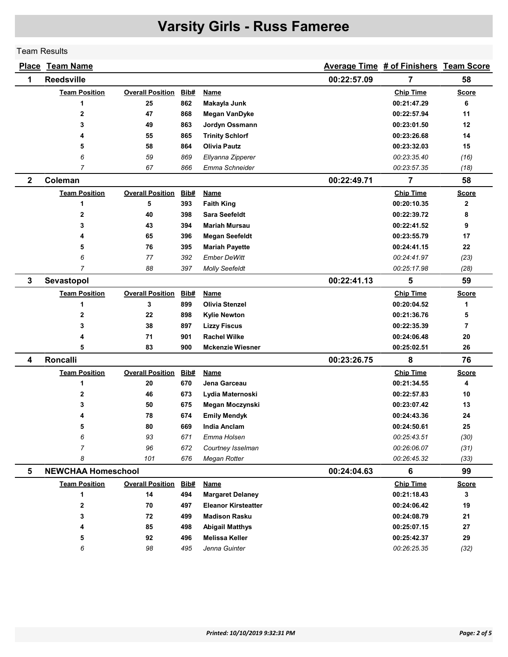Team Results

|              | <b>Place Team Name</b>    |                         |      |                            |             | Average Time # of Finishers Team Score |                |
|--------------|---------------------------|-------------------------|------|----------------------------|-------------|----------------------------------------|----------------|
| 1            | <b>Reedsville</b>         |                         |      |                            | 00:22:57.09 | 7                                      | 58             |
|              | <b>Team Position</b>      | <b>Overall Position</b> | Bib# | Name                       |             | <b>Chip Time</b>                       | <b>Score</b>   |
|              | 1                         | 25                      | 862  | Makayla Junk               |             | 00:21:47.29                            | 6              |
|              | 2                         | 47                      | 868  | Megan VanDyke              |             | 00:22:57.94                            | 11             |
|              | 3                         | 49                      | 863  | Jordyn Ossmann             |             | 00:23:01.50                            | 12             |
|              | 4                         | 55                      | 865  | <b>Trinity Schlorf</b>     |             | 00:23:26.68                            | 14             |
|              | 5                         | 58                      | 864  | <b>Olivia Pautz</b>        |             | 00:23:32.03                            | 15             |
|              | 6                         | 59                      | 869  | Ellyanna Zipperer          |             | 00:23:35.40                            | (16)           |
|              | 7                         | 67                      | 866  | Emma Schneider             |             | 00:23:57.35                            | (18)           |
| $\mathbf{2}$ | Coleman                   |                         |      |                            | 00:22:49.71 | 7                                      | 58             |
|              | <b>Team Position</b>      | <b>Overall Position</b> | Bib# | <b>Name</b>                |             | <b>Chip Time</b>                       | <b>Score</b>   |
|              | 1                         | 5                       | 393  | <b>Faith King</b>          |             | 00:20:10.35                            | $\mathbf{2}$   |
|              | $\overline{2}$            | 40                      | 398  | <b>Sara Seefeldt</b>       |             | 00:22:39.72                            | 8              |
|              | 3                         | 43                      | 394  | <b>Mariah Mursau</b>       |             | 00:22:41.52                            | 9              |
|              | 4                         | 65                      | 396  | <b>Megan Seefeldt</b>      |             | 00:23:55.79                            | 17             |
|              | 5                         | 76                      | 395  | <b>Mariah Payette</b>      |             | 00:24:41.15                            | 22             |
|              | 6                         | 77                      | 392  | <b>Ember DeWitt</b>        |             | 00:24:41.97                            | (23)           |
|              | $\overline{7}$            | 88                      | 397  | <b>Molly Seefeldt</b>      |             | 00:25:17.98                            | (28)           |
| $\mathbf{3}$ | Sevastopol                |                         |      |                            | 00:22:41.13 | 5                                      | 59             |
|              | <b>Team Position</b>      | <b>Overall Position</b> | Bib# | <b>Name</b>                |             | <b>Chip Time</b>                       | <u>Score</u>   |
|              | 1                         | 3                       | 899  | <b>Olivia Stenzel</b>      |             | 00:20:04.52                            | 1              |
|              | 2                         | 22                      | 898  | <b>Kylie Newton</b>        |             | 00:21:36.76                            | 5              |
|              | 3                         | 38                      | 897  | <b>Lizzy Fiscus</b>        |             | 00:22:35.39                            | $\overline{7}$ |
|              | 4                         | 71                      | 901  | <b>Rachel Wilke</b>        |             | 00:24:06.48                            | 20             |
|              | 5                         | 83                      | 900  | <b>Mckenzie Wiesner</b>    |             | 00:25:02.51                            | 26             |
| 4            | Roncalli                  |                         |      |                            | 00:23:26.75 | 8                                      | 76             |
|              | <b>Team Position</b>      | <b>Overall Position</b> | Bib# | Name                       |             | <b>Chip Time</b>                       | <b>Score</b>   |
|              | 1                         | 20                      | 670  | Jena Garceau               |             | 00:21:34.55                            | 4              |
|              | 2                         | 46                      | 673  | Lydia Maternoski           |             | 00:22:57.83                            | 10             |
|              | 3                         | 50                      | 675  | Megan Moczynski            |             | 00:23:07.42                            | 13             |
|              |                           | 78                      | 674  | <b>Emily Mendyk</b>        |             | 00:24:43.36                            | 24             |
|              | 5                         | 80                      | 669  | <b>India Anclam</b>        |             | 00:24:50.61                            | 25             |
|              | 6                         | 93                      | 671  | Emma Holsen                |             | 00:25:43.51                            | (30)           |
|              | 7                         | 96                      | 672  | Courtney Isselman          |             | 00:26:06.07                            | (31)           |
|              | 8                         | 101                     | 676  | Megan Rotter               |             | 00:26:45.32                            | (33)           |
| 5            | <b>NEWCHAA Homeschool</b> |                         |      |                            | 00:24:04.63 | 6                                      | 99             |
|              | <b>Team Position</b>      | <b>Overall Position</b> | Bib# | <b>Name</b>                |             | <b>Chip Time</b>                       | <b>Score</b>   |
|              | 1                         | 14                      | 494  | <b>Margaret Delaney</b>    |             | 00:21:18.43                            | 3              |
|              | 2                         | 70                      | 497  | <b>Eleanor Kirsteatter</b> |             | 00:24:06.42                            | 19             |
|              | 3                         | 72                      | 499  | <b>Madison Rasku</b>       |             | 00:24:08.79                            | 21             |
|              | 4                         | 85                      | 498  | <b>Abigail Matthys</b>     |             | 00:25:07.15                            | 27             |
|              | 5                         | 92                      | 496  | <b>Melissa Keller</b>      |             | 00:25:42.37                            | 29             |
|              | 6                         | 98                      | 495  | Jenna Guinter              |             | 00:26:25.35                            | (32)           |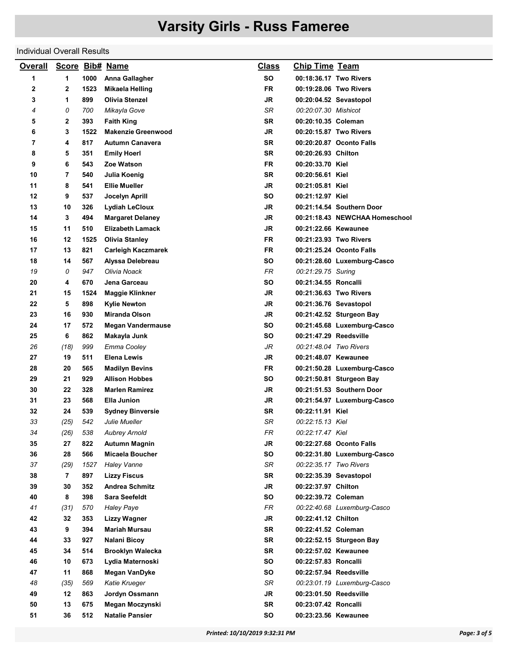#### Individual Overall Results

| <b>Overall</b> |      |      | Score Bib# Name           | <b>Class</b> | <b>Chip Time Team</b>  |                                |
|----------------|------|------|---------------------------|--------------|------------------------|--------------------------------|
| 1              | 1    | 1000 | Anna Gallagher            | <b>SO</b>    | 00:18:36.17 Two Rivers |                                |
| 2              | 2    | 1523 | Mikaela Helling           | <b>FR</b>    | 00:19:28.06 Two Rivers |                                |
| 3              | 1    | 899  | <b>Olivia Stenzel</b>     | <b>JR</b>    | 00:20:04.52 Sevastopol |                                |
| 4              | 0    | 700  | Mikayla Gove              | SR           | 00:20:07.30 Mishicot   |                                |
| 5              | 2    | 393  | <b>Faith King</b>         | <b>SR</b>    | 00:20:10.35 Coleman    |                                |
| 6              | 3    | 1522 | <b>Makenzie Greenwood</b> | <b>JR</b>    | 00:20:15.87 Two Rivers |                                |
| 7              | 4    | 817  | <b>Autumn Canavera</b>    | <b>SR</b>    |                        | 00:20:20.87 Oconto Falls       |
| 8              | 5    | 351  | <b>Emily Hoerl</b>        | <b>SR</b>    | 00:20:26.93 Chilton    |                                |
| 9              | 6    | 543  | Zoe Watson                | <b>FR</b>    | 00:20:33.70 Kiel       |                                |
| 10             | 7    | 540  | Julia Koenig              | <b>SR</b>    | 00:20:56.61 Kiel       |                                |
| 11             | 8    | 541  | <b>Ellie Mueller</b>      | <b>JR</b>    | 00:21:05.81 Kiel       |                                |
| 12             | 9    | 537  | Jocelyn Aprill            | SO           | 00:21:12.97 Kiel       |                                |
| 13             | 10   | 326  | <b>Lydiah LeCloux</b>     | JR           |                        | 00:21:14.54 Southern Door      |
| 14             | 3    | 494  | <b>Margaret Delaney</b>   | JR           |                        | 00:21:18.43 NEWCHAA Homeschool |
| 15             | 11   | 510  | <b>Elizabeth Lamack</b>   | JR           | 00:21:22.66 Kewaunee   |                                |
| 16             | 12   | 1525 | <b>Olivia Stanley</b>     | <b>FR</b>    | 00:21:23.93 Two Rivers |                                |
| 17             | 13   | 821  | <b>Carleigh Kaczmarek</b> | <b>FR</b>    |                        | 00:21:25.24 Oconto Falls       |
| 18             | 14   | 567  | Alyssa Delebreau          | <b>SO</b>    |                        | 00:21:28.60 Luxemburg-Casco    |
| 19             | 0    | 947  | Olivia Noack              | <b>FR</b>    | 00:21:29.75 Suring     |                                |
| 20             | 4    | 670  | Jena Garceau              | SΟ           | 00:21:34.55 Roncalli   |                                |
| 21             | 15   | 1524 | <b>Maggie Klinkner</b>    | JR           | 00:21:36.63 Two Rivers |                                |
| 22             | 5    | 898  | <b>Kylie Newton</b>       | <b>JR</b>    | 00:21:36.76 Sevastopol |                                |
| 23             | 16   | 930  | Miranda Olson             | JR           |                        | 00:21:42.52 Sturgeon Bay       |
| 24             | 17   | 572  | <b>Megan Vandermause</b>  | SO           |                        | 00:21:45.68 Luxemburg-Casco    |
| 25             | 6    | 862  | Makayla Junk              | SΟ           | 00:21:47.29 Reedsville |                                |
| 26             | (18) | 999  | Emma Cooley               | JR           | 00:21:48.04 Two Rivers |                                |
| 27             | 19   | 511  | <b>Elena Lewis</b>        | JR           | 00:21:48.07 Kewaunee   |                                |
| 28             | 20   | 565  | <b>Madilyn Bevins</b>     | <b>FR</b>    |                        | 00:21:50.28 Luxemburg-Casco    |
| 29             | 21   | 929  | <b>Allison Hobbes</b>     | SO           |                        | 00:21:50.81 Sturgeon Bay       |
| 30             | 22   | 328  | <b>Marlen Ramirez</b>     | JR           |                        | 00:21:51.53 Southern Door      |
| 31             | 23   | 568  | Ella Junion               | JR           |                        | 00:21:54.97 Luxemburg-Casco    |
| 32             | 24   | 539  | <b>Sydney Binversie</b>   | <b>SR</b>    | 00:22:11.91 Kiel       |                                |
| 33             | (25) | 542  | Julie Mueller             | SR           | 00:22:15.13 Kiel       |                                |
| 34             | (26) | 538  | <b>Aubrey Arnold</b>      | ${\sf FR}$   | 00:22:17.47 Kiel       |                                |
| 35             | 27   | 822  | Autumn Magnin             | JR           |                        | 00:22:27.68 Oconto Falls       |
| 36             | 28   | 566  | Micaela Boucher           | SO           |                        | 00:22:31.80 Luxemburg-Casco    |
| 37             | (29) | 1527 | <b>Haley Vanne</b>        | SR           | 00:22:35.17 Two Rivers |                                |
| 38             | 7    | 897  | <b>Lizzy Fiscus</b>       | <b>SR</b>    | 00:22:35.39 Sevastopol |                                |
| 39             | 30   | 352  | <b>Andrea Schmitz</b>     | <b>JR</b>    | 00:22:37.97 Chilton    |                                |
| 40             | 8    | 398  | <b>Sara Seefeldt</b>      | <b>SO</b>    | 00:22:39.72 Coleman    |                                |
| 41             | (31) | 570  | <b>Haley Paye</b>         | FR           |                        | 00:22:40.68 Luxemburg-Casco    |
| 42             | 32   | 353  | Lizzy Wagner              | JR           | 00:22:41.12 Chilton    |                                |
| 43             | 9    | 394  | <b>Mariah Mursau</b>      | <b>SR</b>    | 00:22:41.52 Coleman    |                                |
| 44             | 33   | 927  | Nalani Bicoy              | <b>SR</b>    |                        | 00:22:52.15 Sturgeon Bay       |
| 45             | 34   | 514  | <b>Brooklyn Walecka</b>   | SR.          | 00:22:57.02 Kewaunee   |                                |
| 46             | 10   | 673  | Lydia Maternoski          | SO           | 00:22:57.83 Roncalli   |                                |
| 47             | 11   | 868  | Megan VanDyke             | <b>SO</b>    | 00:22:57.94 Reedsville |                                |
| 48             | (35) | 569  | Katie Krueger             | SR           |                        | 00:23:01.19 Luxemburg-Casco    |
| 49             | 12   | 863  | Jordyn Ossmann            | <b>JR</b>    | 00:23:01.50 Reedsville |                                |
| 50             | 13   | 675  | Megan Moczynski           | <b>SR</b>    | 00:23:07.42 Roncalli   |                                |
| 51             | 36   | 512  | <b>Natalie Pansier</b>    | SO           | 00:23:23.56 Kewaunee   |                                |
|                |      |      |                           |              |                        |                                |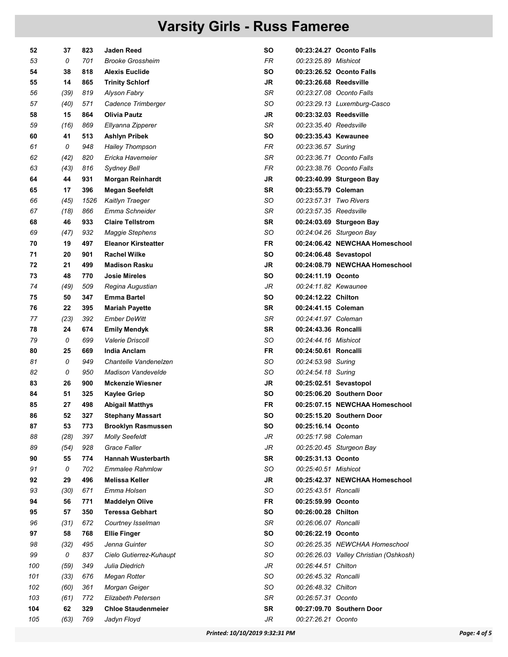| 52  | 37   | 823  | Jaden Reed                 | SΟ        |                        | 00:23:24.27 Oconto Falls               |
|-----|------|------|----------------------------|-----------|------------------------|----------------------------------------|
| 53  | 0    | 701  | <b>Brooke Grossheim</b>    | FR.       | 00:23:25.89 Mishicot   |                                        |
| 54  | 38   | 818  | <b>Alexis Euclide</b>      | SΟ        |                        | 00:23:26.52 Oconto Falls               |
| 55  | 14   | 865  | <b>Trinity Schlorf</b>     | JR        | 00:23:26.68 Reedsville |                                        |
| 56  | (39) | 819  | Alyson Fabry               | SR        |                        | 00:23:27.08 Oconto Falls               |
| 57  | (40) | 571  | Cadence Trimberger         | SO        |                        | 00:23:29.13 Luxemburg-Casco            |
| 58  | 15   | 864  | <b>Olivia Pautz</b>        | JR        | 00:23:32.03 Reedsville |                                        |
| 59  | (16) | 869  | Ellyanna Zipperer          | SR        | 00:23:35.40 Reedsville |                                        |
| 60  | 41   | 513  | <b>Ashlyn Pribek</b>       | SΟ        | 00:23:35.43 Kewaunee   |                                        |
| 61  | 0    | 948  | <b>Hailey Thompson</b>     | FR        | 00:23:36.57 Suring     |                                        |
| 62  | (42) | 820  | Ericka Havemeier           | SR        |                        | 00:23:36.71 Oconto Falls               |
| 63  | (43) | 816  | Sydney Bell                | FR.       |                        | 00:23:38.76 Oconto Falls               |
| 64  | 44   | 931  | <b>Morgan Reinhardt</b>    | JR        |                        | 00:23:40.99 Sturgeon Bay               |
| 65  | 17   | 396  | <b>Megan Seefeldt</b>      | SR        | 00:23:55.79 Coleman    |                                        |
| 66  | (45) | 1526 | Kaitlyn Traeger            | SO        | 00:23:57.31 Two Rivers |                                        |
| 67  | (18) | 866  | Emma Schneider             | SR        | 00:23:57.35 Reedsville |                                        |
| 68  | 46   | 933  | <b>Claire Tellstrom</b>    | SR        |                        | 00:24:03.69 Sturgeon Bay               |
| 69  | (47) | 932  | <b>Maggie Stephens</b>     | SO        |                        | 00:24:04.26 Sturgeon Bay               |
| 70  | 19   | 497  | <b>Eleanor Kirsteatter</b> | FR        |                        | 00:24:06.42 NEWCHAA Homeschool         |
| 71  | 20   | 901  | <b>Rachel Wilke</b>        | SO        |                        | 00:24:06.48 Sevastopol                 |
| 72  | 21   | 499  | <b>Madison Rasku</b>       | JR        |                        | 00:24:08.79 NEWCHAA Homeschool         |
| 73  | 48   | 770  | <b>Josie Mireles</b>       | SΟ        | 00:24:11.19 Oconto     |                                        |
| 74  | (49) | 509  | Regina Augustian           | JR        | 00:24:11.82 Kewaunee   |                                        |
| 75  | 50   | 347  | <b>Emma Bartel</b>         | SΟ        | 00:24:12.22 Chilton    |                                        |
| 76  | 22   | 395  | <b>Mariah Payette</b>      | <b>SR</b> | 00:24:41.15 Coleman    |                                        |
| 77  | (23) | 392  | <b>Ember DeWitt</b>        | SR        | 00:24:41.97 Coleman    |                                        |
| 78  | 24   | 674  | <b>Emily Mendyk</b>        | <b>SR</b> | 00:24:43.36 Roncalli   |                                        |
| 79  | 0    | 699  | <b>Valerie Driscoll</b>    | SO        | 00:24:44.16 Mishicot   |                                        |
| 80  | 25   | 669  | India Anclam               | FR.       | 00:24:50.61 Roncalli   |                                        |
| 81  | 0    | 949  | Chantelle Vandenelzen      | SO        | 00:24:53.98 Suring     |                                        |
| 82  | 0    | 950  | <b>Madison Vandevelde</b>  | SO        | 00:24:54.18 Suring     |                                        |
| 83  | 26   | 900  | <b>Mckenzie Wiesner</b>    | JR        |                        | 00:25:02.51 Sevastopol                 |
| 84  | 51   | 325  | <b>Kaylee Griep</b>        | SO        |                        | 00:25:06.20 Southern Door              |
| 85  | 27   | 498  | <b>Abigail Matthys</b>     | FR        |                        | 00:25:07.15 NEWCHAA Homeschool         |
| 86  | 52   | 327  | <b>Stephany Massart</b>    | SΟ        |                        | 00:25:15.20 Southern Door              |
| 87  | 53   | 773  | <b>Brooklyn Rasmussen</b>  | SO        | 00:25:16.14 Oconto     |                                        |
| 88  | (28) | 397  | <b>Molly Seefeldt</b>      | JR        | 00:25:17.98 Coleman    |                                        |
| 89  | (54) | 928  | <b>Grace Faller</b>        | JR        |                        | 00:25:20.45 Sturgeon Bay               |
| 90  | 55   | 774  | <b>Hannah Wusterbarth</b>  | SR        | 00:25:31.13 Oconto     |                                        |
| 91  | 0    | 702  | <b>Emmalee Rahmlow</b>     | SO        | 00:25:40.51 Mishicot   |                                        |
| 92  | 29   | 496  | <b>Melissa Keller</b>      | JR        |                        | 00:25:42.37 NEWCHAA Homeschool         |
| 93  | (30) | 671  | Emma Holsen                | SO        | 00:25:43.51 Roncalli   |                                        |
| 94  | 56   | 771  | <b>Maddelyn Olive</b>      | <b>FR</b> | 00:25:59.99 Oconto     |                                        |
| 95  | 57   | 350  | <b>Teressa Gebhart</b>     | <b>SO</b> | 00:26:00.28 Chilton    |                                        |
| 96  | (31) | 672  | Courtney Isselman          | SR        | 00:26:06.07 Roncalli   |                                        |
| 97  | 58   | 768  | <b>Ellie Finger</b>        | SΟ        | 00:26:22.19 Oconto     |                                        |
| 98  | (32) | 495  | Jenna Guinter              | SO        |                        | 00:26:25.35 NEWCHAA Homeschool         |
| 99  | 0    | 837  | Cielo Gutierrez-Kuhaupt    | SO        |                        | 00:26:26.03 Valley Christian (Oshkosh) |
| 100 | (59) | 349  | Julia Diedrich             | JR        | 00:26:44.51 Chilton    |                                        |
| 101 | (33) | 676  | Megan Rotter               | SO        | 00:26:45.32 Roncalli   |                                        |
| 102 | (60) | 361  | Morgan Geiger              | SO        | 00:26:48.32 Chilton    |                                        |
| 103 | (61) | 772  | Elizabeth Petersen         | SR        | 00:26:57.31 Oconto     |                                        |
| 104 | 62   | 329  | <b>Chloe Staudenmeier</b>  | <b>SR</b> |                        | 00:27:09.70 Southern Door              |
| 105 | (63) | 769  | Jadyn Floyd                | JR        | 00:27:26.21 Oconto     |                                        |